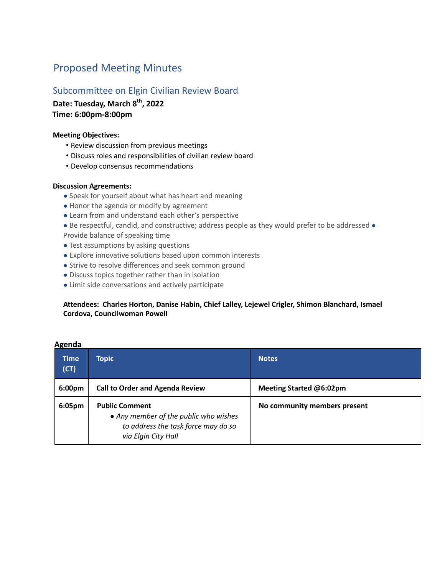# Proposed Meeting Minutes

## Subcommittee on Elgin Civilian Review Board

Date: Tuesday, March 8<sup>th</sup>, 2022 **Time: 6:00pm-8:00pm**

#### **Meeting Objectives:**

- Review discussion from previous meetings
- Discuss roles and responsibilities of civilian review board
- Develop consensus recommendations

#### **Discussion Agreements:**

- Speak for yourself about what has heart and meaning
- Honor the agenda or modify by agreement
- Learn from and understand each other's perspective
- Be respectful, candid, and constructive; address people as they would prefer to be addressed Provide balance of speaking time
- Test assumptions by asking questions
- Explore innovative solutions based upon common interests
- Strive to resolve differences and seek common ground
- Discuss topics together rather than in isolation
- Limit side conversations and actively participate

### **Attendees: Charles Horton, Danise Habin, Chief Lalley, Lejewel Crigler, Shimon Blanchard, Ismael Cordova, Councilwoman Powell**

| <b>Time</b><br>(CT) | <b>Topic</b>                                                                                                                 | <b>Notes</b>                 |
|---------------------|------------------------------------------------------------------------------------------------------------------------------|------------------------------|
| 6:00 <sub>pm</sub>  | <b>Call to Order and Agenda Review</b>                                                                                       | Meeting Started @6:02pm      |
| 6:05pm              | <b>Public Comment</b><br>• Any member of the public who wishes<br>to address the task force may do so<br>via Elgin City Hall | No community members present |

#### **Agenda**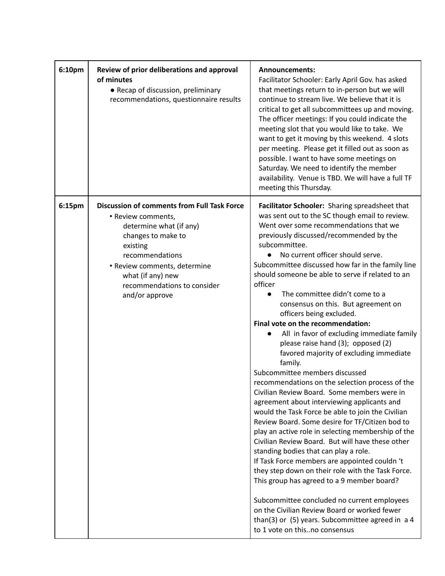| 6:10pm | Review of prior deliberations and approval<br>of minutes<br>• Recap of discussion, preliminary<br>recommendations, questionnaire results                                                                                                                       | Announcements:<br>Facilitator Schooler: Early April Gov. has asked<br>that meetings return to in-person but we will<br>continue to stream live. We believe that it is<br>critical to get all subcommittees up and moving.<br>The officer meetings: If you could indicate the<br>meeting slot that you would like to take. We<br>want to get it moving by this weekend. 4 slots<br>per meeting. Please get it filled out as soon as<br>possible. I want to have some meetings on<br>Saturday. We need to identify the member<br>availability. Venue is TBD. We will have a full TF<br>meeting this Thursday.                                                                                                                                                                                                                                                                                                                                                                                                                                                                                                                                                                                                                                                                                                                                                                                                                              |
|--------|----------------------------------------------------------------------------------------------------------------------------------------------------------------------------------------------------------------------------------------------------------------|------------------------------------------------------------------------------------------------------------------------------------------------------------------------------------------------------------------------------------------------------------------------------------------------------------------------------------------------------------------------------------------------------------------------------------------------------------------------------------------------------------------------------------------------------------------------------------------------------------------------------------------------------------------------------------------------------------------------------------------------------------------------------------------------------------------------------------------------------------------------------------------------------------------------------------------------------------------------------------------------------------------------------------------------------------------------------------------------------------------------------------------------------------------------------------------------------------------------------------------------------------------------------------------------------------------------------------------------------------------------------------------------------------------------------------------|
| 6:15pm | <b>Discussion of comments from Full Task Force</b><br>• Review comments,<br>determine what (if any)<br>changes to make to<br>existing<br>recommendations<br>• Review comments, determine<br>what (if any) new<br>recommendations to consider<br>and/or approve | Facilitator Schooler: Sharing spreadsheet that<br>was sent out to the SC though email to review.<br>Went over some recommendations that we<br>previously discussed/recommended by the<br>subcommittee.<br>No current officer should serve.<br>Subcommittee discussed how far in the family line<br>should someone be able to serve if related to an<br>officer<br>The committee didn't come to a<br>consensus on this. But agreement on<br>officers being excluded.<br>Final vote on the recommendation:<br>All in favor of excluding immediate family<br>please raise hand (3); opposed (2)<br>favored majority of excluding immediate<br>family.<br>Subcommittee members discussed<br>recommendations on the selection process of the<br>Civilian Review Board. Some members were in<br>agreement about interviewing applicants and<br>would the Task Force be able to join the Civilian<br>Review Board. Some desire for TF/Citizen bod to<br>play an active role in selecting membership of the<br>Civilian Review Board. But will have these other<br>standing bodies that can play a role.<br>If Task Force members are appointed couldn 't<br>they step down on their role with the Task Force.<br>This group has agreed to a 9 member board?<br>Subcommittee concluded no current employees<br>on the Civilian Review Board or worked fewer<br>than(3) or (5) years. Subcommittee agreed in a 4<br>to 1 vote on thisno consensus |